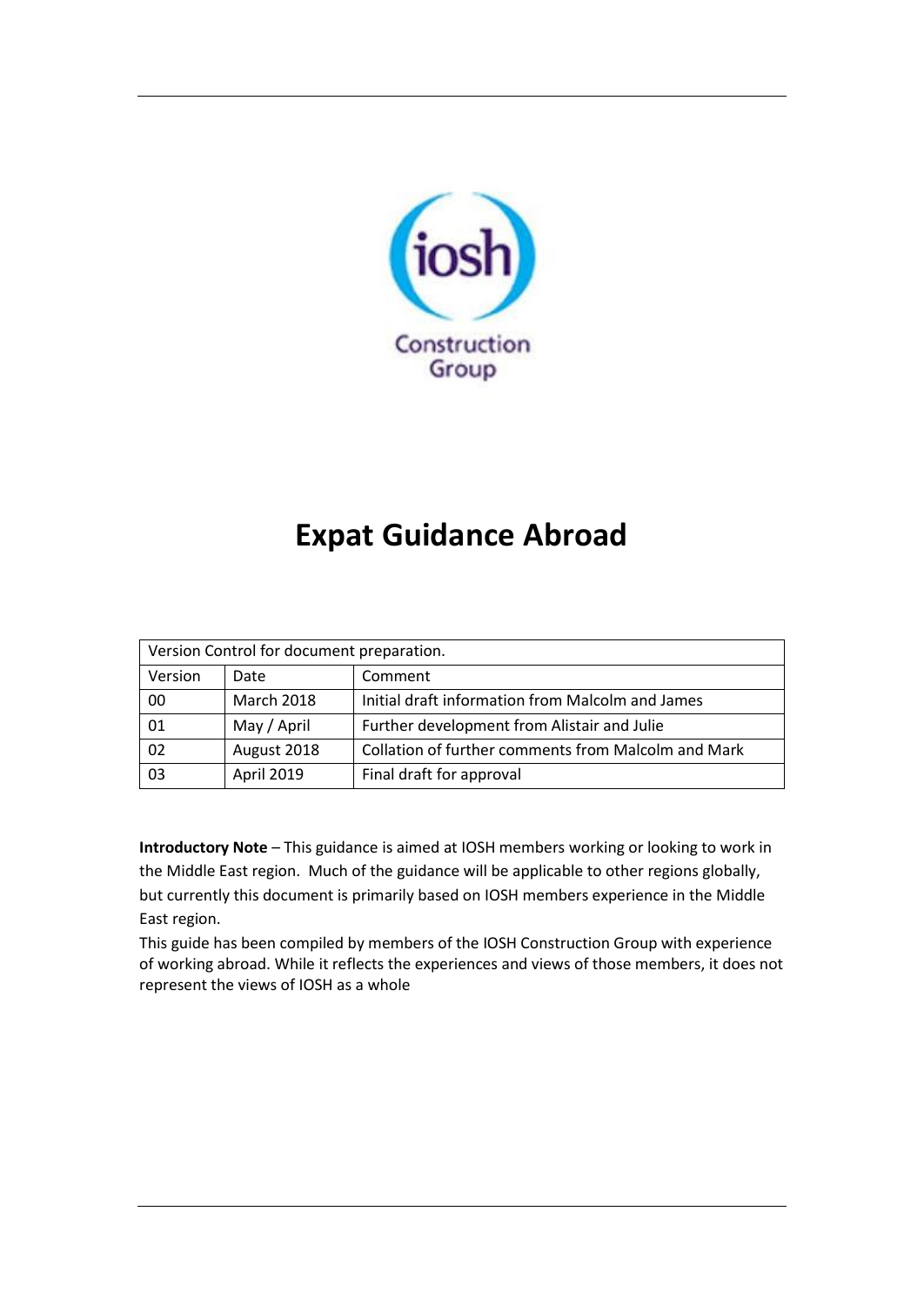

# **Expat Guidance Abroad**

| Version Control for document preparation. |                   |                                                     |
|-------------------------------------------|-------------------|-----------------------------------------------------|
| Version                                   | Date              | Comment                                             |
| 00                                        | <b>March 2018</b> | Initial draft information from Malcolm and James    |
| 01                                        | May / April       | Further development from Alistair and Julie         |
| 02                                        | August 2018       | Collation of further comments from Malcolm and Mark |
| 03                                        | April 2019        | Final draft for approval                            |

**Introductory Note** – This guidance is aimed at IOSH members working or looking to work in the Middle East region. Much of the guidance will be applicable to other regions globally, but currently this document is primarily based on IOSH members experience in the Middle East region.

This guide has been compiled by members of the IOSH Construction Group with experience of working abroad. While it reflects the experiences and views of those members, it does not represent the views of IOSH as a whole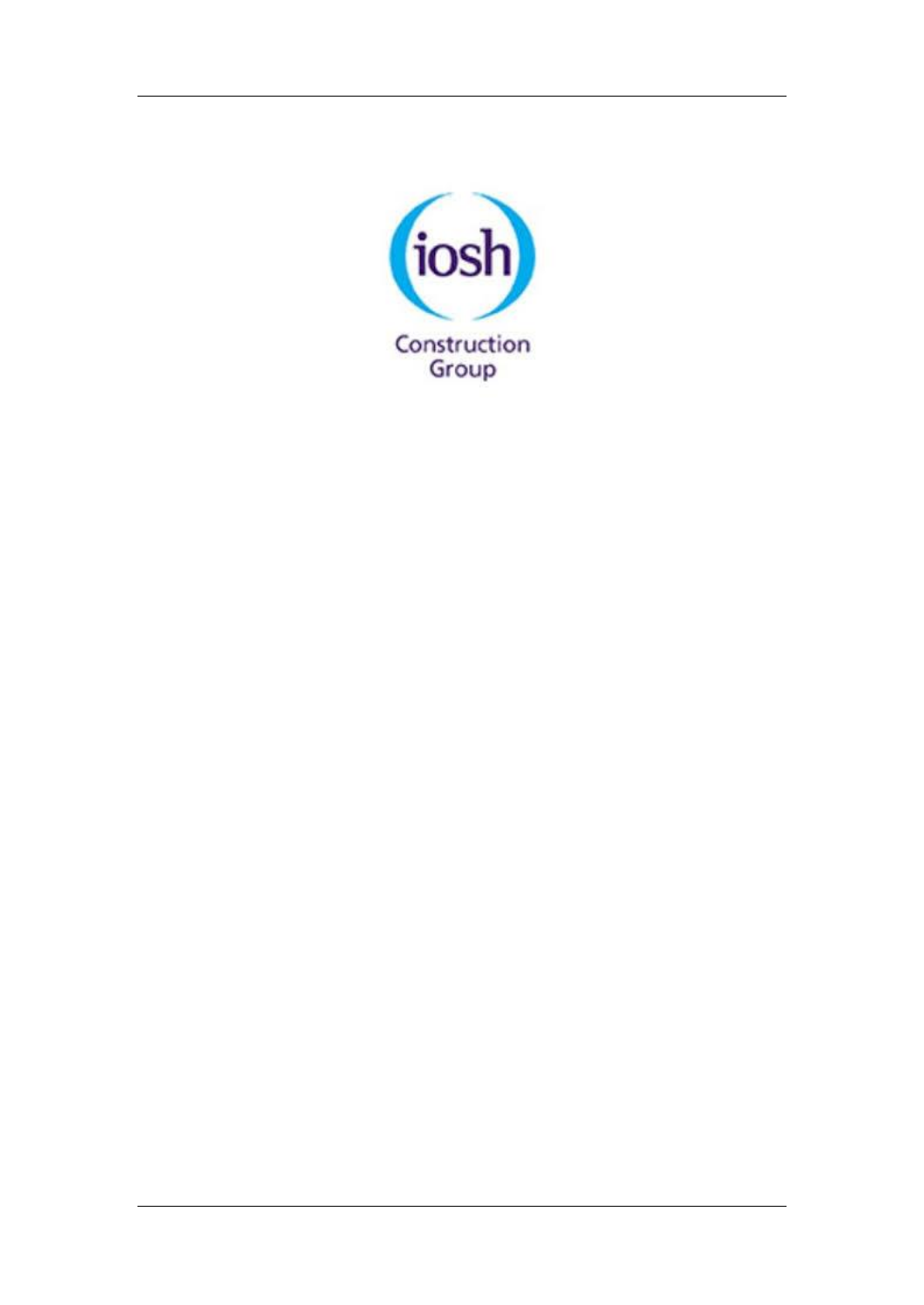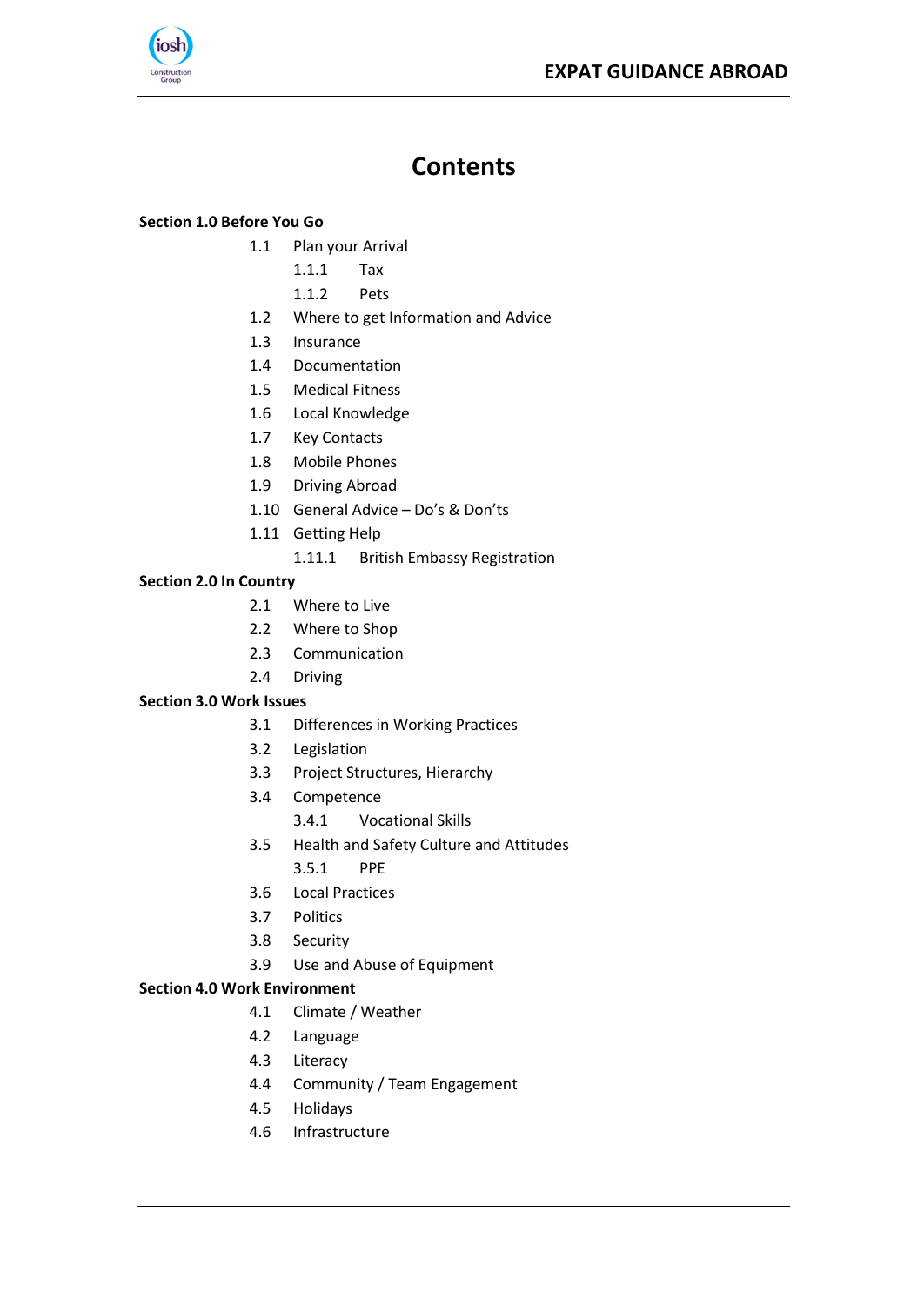

# **Contents**

#### **[Section 1.0 Before You Go](#page-3-0)**

- 1.1 [Plan your Arrival](#page-4-0)
	- [1.1.1](#page-4-1) Tax
	- [1.1.2](#page-4-2) Pets
- 1.2 [Where to get Information and Advice](#page-4-3)
- 1.3 [Insurance](#page-5-0)
- 1.4 [Documentation](#page-5-1)
- 1.5 [Medical Fitness](#page-5-2)
- 1.6 [Local Knowledge](#page-6-0)
- 1.7 [Key Contacts](#page-6-1)
- 1.8 [Mobile Phones](#page-6-2)
- 1.9 [Driving Abroad](#page-6-3)
- 1.10 [General Advice](#page-7-0)  Do's & Don'ts
- 1.11 [Getting Help](#page-8-0)
	- 1.11.1 [British Embassy Registration](#page-8-1)

#### **[Section 2.0 In Country](#page-9-0)**

- 2.1 [Where to Live](#page-10-0)
- 2.2 [Where to Shop](#page-10-1)
- 2.3 [Communication](#page-10-2)
- 2.4 [Driving](#page-10-3)

#### **[Section 3.0 Work Issues](#page-13-0)**

- 3.1 [Differences in Working Practices](#page-14-0)
- 3.2 [Legislation](#page-14-1)
- 3.3 [Project Structures, Hierarchy](#page-14-2)
- 3.4 [Competence](#page-15-0)
	- 3.4.1 [Vocational Skills](#page-16-0)
- 3.5 [Health and Safety Culture and Attitudes](#page-16-1)
	- [3.5.1](#page-16-2) PPE
- 3.6 [Local Practices](#page-16-3)
- 3.7 [Politics](#page-16-4)
- 3.8 [Security](#page-17-0)
- 3.9 [Use and Abuse of Equipment](#page-17-1)

#### **[Section 4.0 Work Environment](#page-18-0)**

- 4.1 [Climate / Weather](#page-19-0)
- 4.2 [Language](#page-19-1)
- 4.3 [Literacy](#page-19-2)
- 4.4 [Community / Team Engagement](#page-19-3)
- 4.5 [Holidays](#page-19-4)
- 4.6 [Infrastructure](#page-20-0)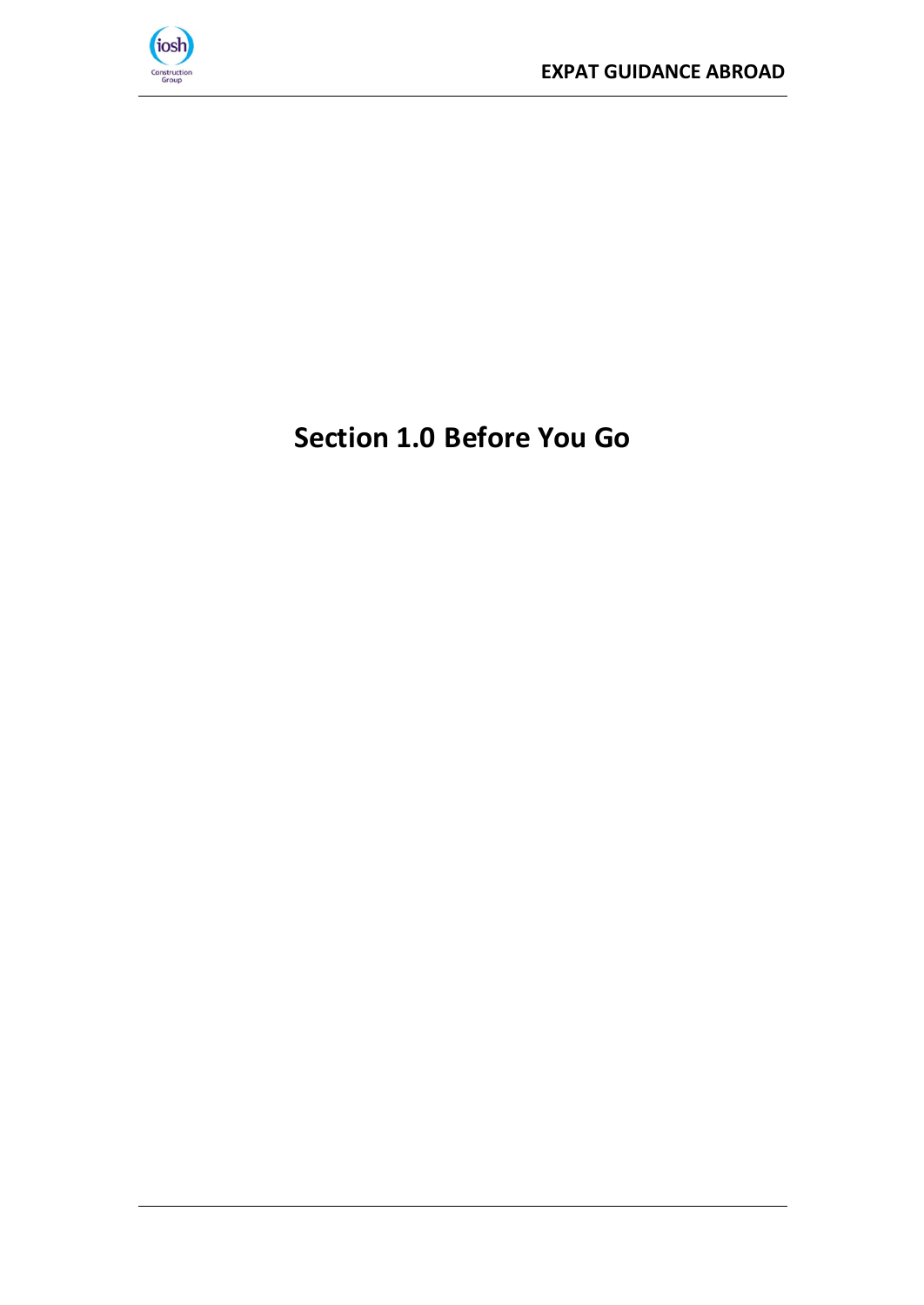

# <span id="page-3-0"></span>**Section 1.0 Before You Go**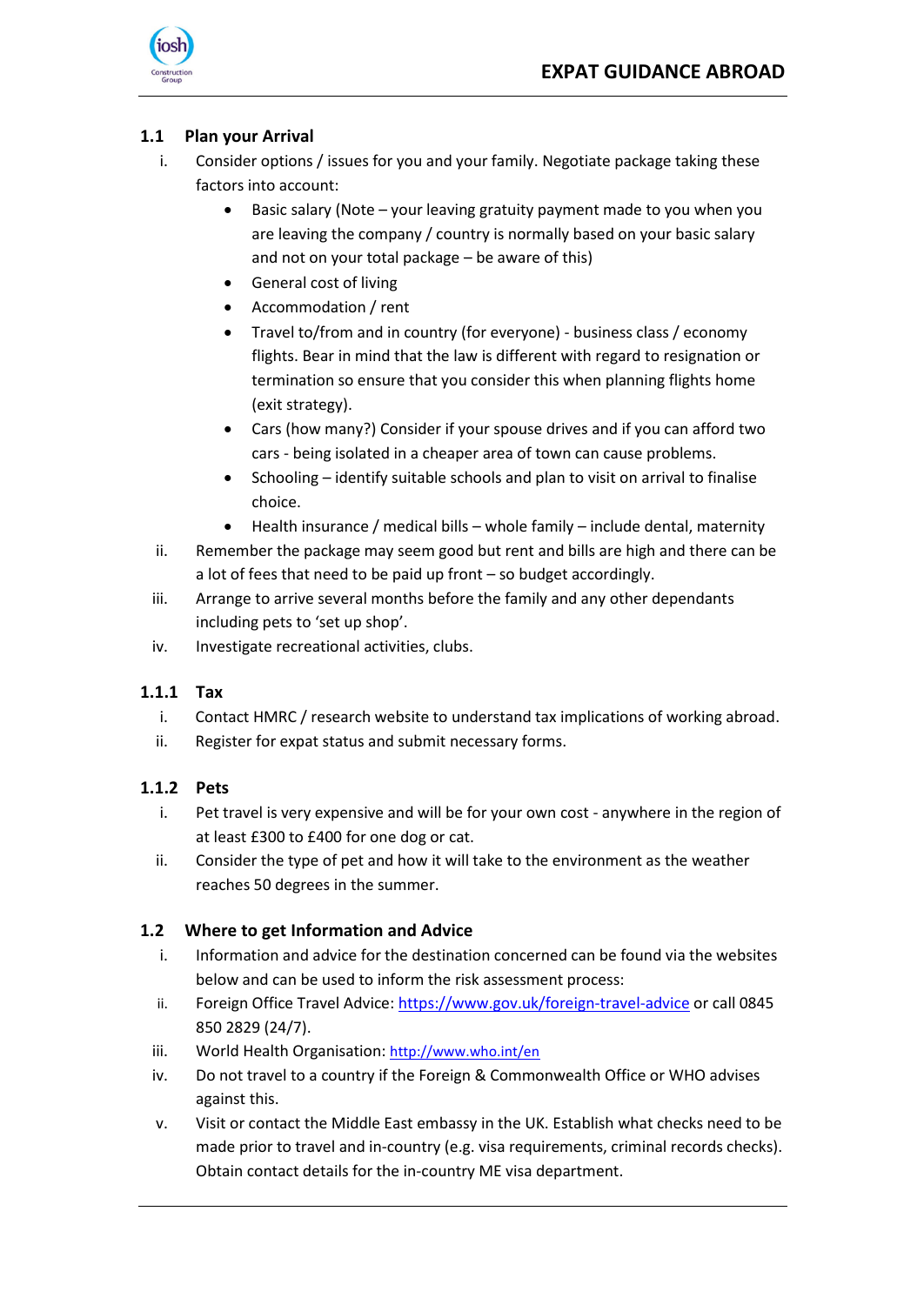

### <span id="page-4-0"></span>**1.1 Plan your Arrival**

- i. Consider options / issues for you and your family. Negotiate package taking these factors into account:
	- Basic salary (Note your leaving gratuity payment made to you when you are leaving the company / country is normally based on your basic salary and not on your total package – be aware of this)
	- General cost of living
	- Accommodation / rent
	- Travel to/from and in country (for everyone) business class / economy flights. Bear in mind that the law is different with regard to resignation or termination so ensure that you consider this when planning flights home (exit strategy).
	- Cars (how many?) Consider if your spouse drives and if you can afford two cars - being isolated in a cheaper area of town can cause problems.
	- Schooling identify suitable schools and plan to visit on arrival to finalise choice.
	- Health insurance / medical bills whole family include dental, maternity
- ii. Remember the package may seem good but rent and bills are high and there can be a lot of fees that need to be paid up front – so budget accordingly.
- iii. Arrange to arrive several months before the family and any other dependants including pets to 'set up shop'.
- iv. Investigate recreational activities, clubs.

#### <span id="page-4-1"></span>**1.1.1 Tax**

- i. Contact HMRC / research website to understand tax implications of working abroad.
- ii. Register for expat status and submit necessary forms.

#### <span id="page-4-2"></span>**1.1.2 Pets**

- i. Pet travel is very expensive and will be for your own cost anywhere in the region of at least £300 to £400 for one dog or cat.
- ii. Consider the type of pet and how it will take to the environment as the weather reaches 50 degrees in the summer.

#### <span id="page-4-3"></span>**1.2 Where to get Information and Advice**

- i. Information and advice for the destination concerned can be found via the websites below and can be used to inform the risk assessment process:
- ii. Foreign Office Travel Advice[: https://www.gov.uk/foreign-travel-advice](https://www.gov.uk/foreign-travel-advice) or call 0845 850 2829 (24/7).
- iii. World Health Organisation: <http://www.who.int/en>
- iv. Do not travel to a country if the Foreign & Commonwealth Office or WHO advises against this.
- v. Visit or contact the Middle East embassy in the UK. Establish what checks need to be made prior to travel and in-country (e.g. visa requirements, criminal records checks). Obtain contact details for the in-country ME visa department.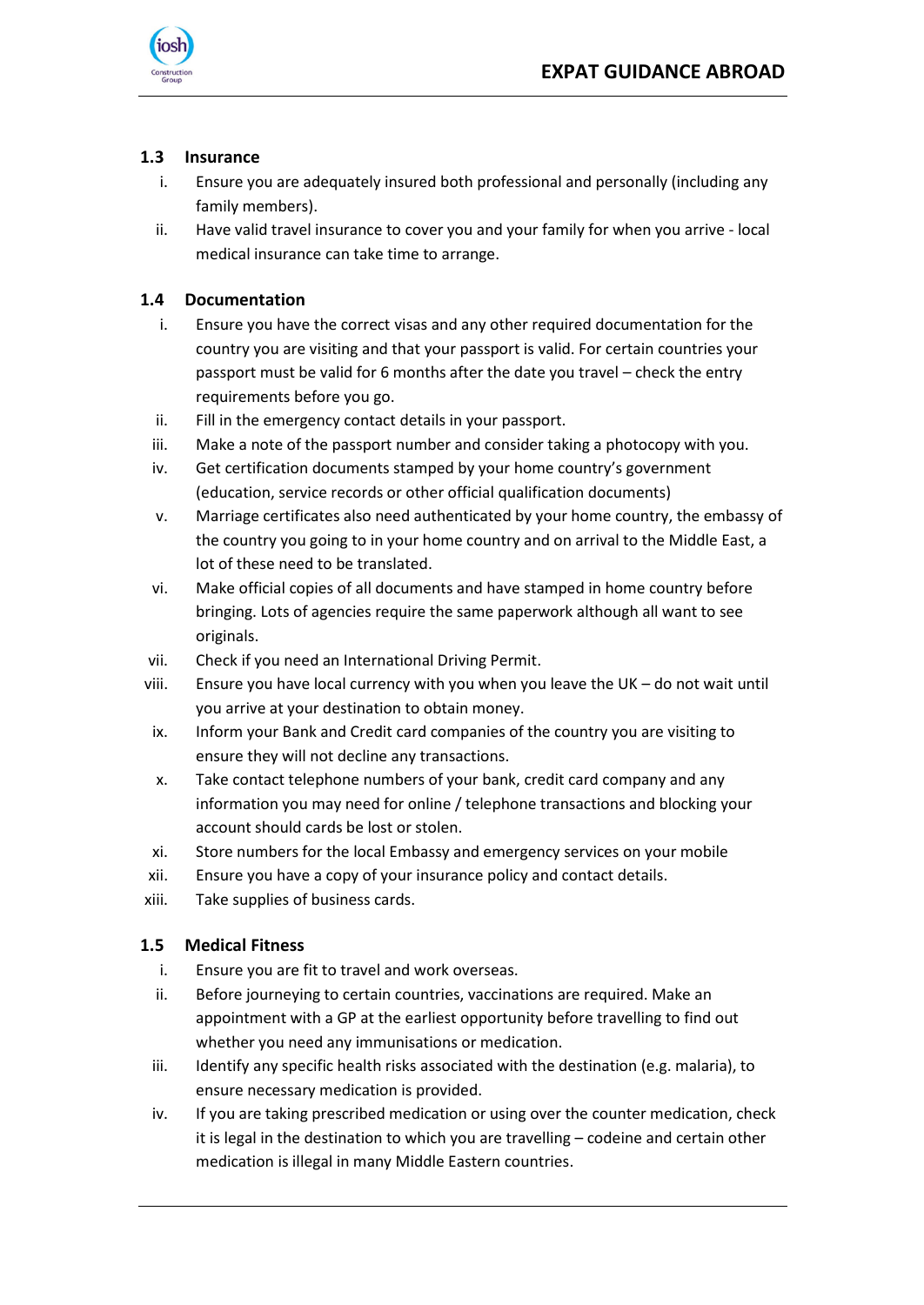

#### <span id="page-5-0"></span>**1.3 Insurance**

- i. Ensure you are adequately insured both professional and personally (including any family members).
- ii. Have valid travel insurance to cover you and your family for when you arrive local medical insurance can take time to arrange.

#### <span id="page-5-1"></span>**1.4 Documentation**

- i. Ensure you have the correct visas and any other required documentation for the country you are visiting and that your passport is valid. For certain countries your passport must be valid for 6 months after the date you travel – check the entry requirements before you go.
- ii. Fill in the emergency contact details in your passport.
- iii. Make a note of the passport number and consider taking a photocopy with you.
- iv. Get certification documents stamped by your home country's government (education, service records or other official qualification documents)
- v. Marriage certificates also need authenticated by your home country, the embassy of the country you going to in your home country and on arrival to the Middle East, a lot of these need to be translated.
- vi. Make official copies of all documents and have stamped in home country before bringing. Lots of agencies require the same paperwork although all want to see originals.
- vii. Check if you need an International Driving Permit.
- viii. Ensure you have local currency with you when you leave the UK do not wait until you arrive at your destination to obtain money.
- ix. Inform your Bank and Credit card companies of the country you are visiting to ensure they will not decline any transactions.
- x. Take contact telephone numbers of your bank, credit card company and any information you may need for online / telephone transactions and blocking your account should cards be lost or stolen.
- xi. Store numbers for the local Embassy and emergency services on your mobile
- xii. Ensure you have a copy of your insurance policy and contact details.
- xiii. Take supplies of business cards.

#### <span id="page-5-2"></span>**1.5 Medical Fitness**

- i. Ensure you are fit to travel and work overseas.
- ii. Before journeying to certain countries, vaccinations are required. Make an appointment with a GP at the earliest opportunity before travelling to find out whether you need any immunisations or medication.
- iii. Identify any specific health risks associated with the destination (e.g. malaria), to ensure necessary medication is provided.
- iv. If you are taking prescribed medication or using over the counter medication, check it is legal in the destination to which you are travelling – codeine and certain other medication is illegal in many Middle Eastern countries.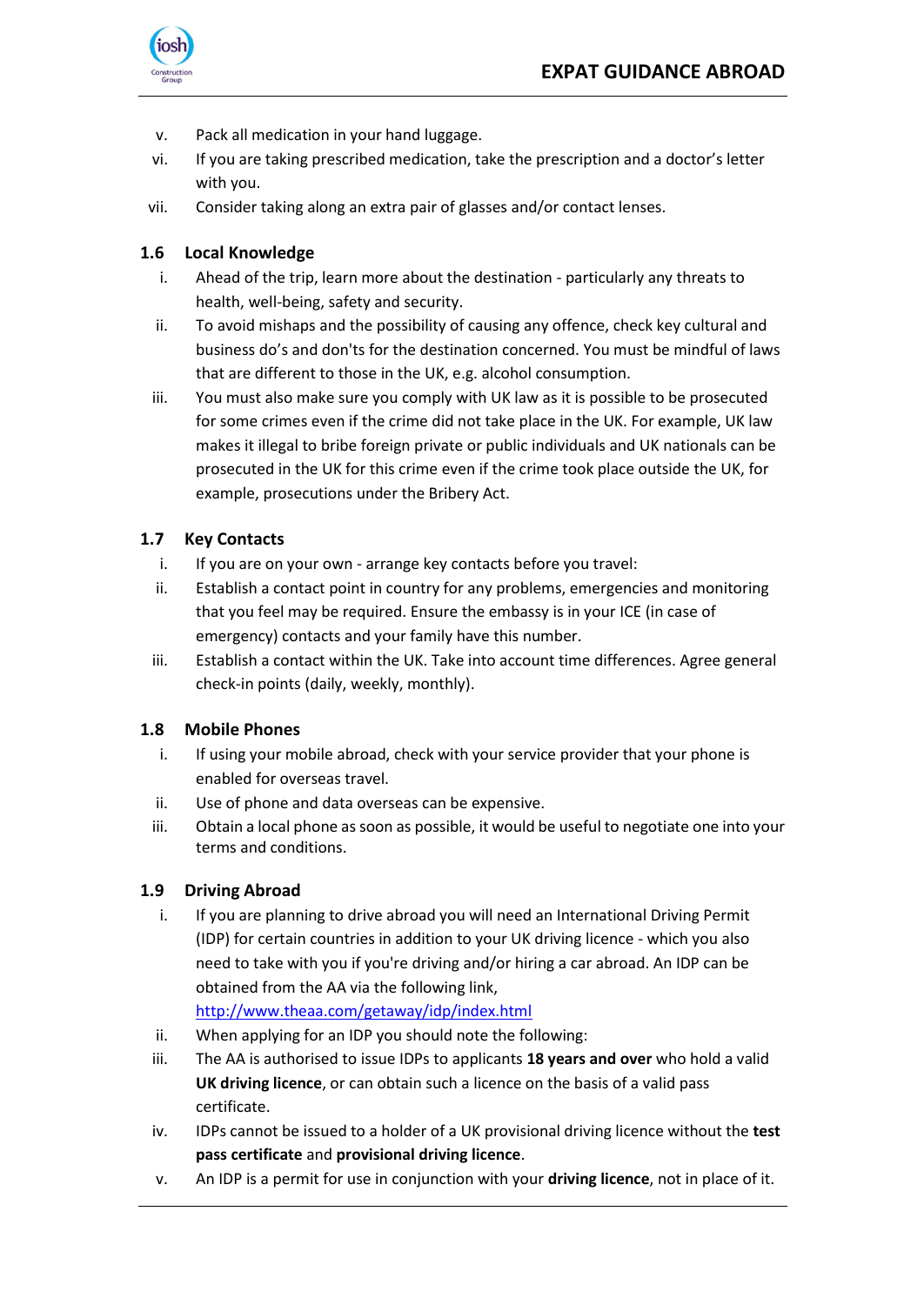

- v. Pack all medication in your hand luggage.
- vi. If you are taking prescribed medication, take the prescription and a doctor's letter with you.
- vii. Consider taking along an extra pair of glasses and/or contact lenses.

### <span id="page-6-0"></span>**1.6 Local Knowledge**

- i. Ahead of the trip, learn more about the destination particularly any threats to health, well-being, safety and security.
- ii. To avoid mishaps and the possibility of causing any offence, check key cultural and business do's and don'ts for the destination concerned. You must be mindful of laws that are different to those in the UK, e.g. alcohol consumption.
- iii. You must also make sure you comply with UK law as it is possible to be prosecuted for some crimes even if the crime did not take place in the UK. For example, UK law makes it illegal to bribe foreign private or public individuals and UK nationals can be prosecuted in the UK for this crime even if the crime took place outside the UK, for example, prosecutions under the Bribery Act.

### <span id="page-6-1"></span>**1.7 Key Contacts**

- i. If you are on your own arrange key contacts before you travel:
- ii. Establish a contact point in country for any problems, emergencies and monitoring that you feel may be required. Ensure the embassy is in your ICE (in case of emergency) contacts and your family have this number.
- iii. Establish a contact within the UK. Take into account time differences. Agree general check-in points (daily, weekly, monthly).

#### <span id="page-6-2"></span>**1.8 Mobile Phones**

- i. If using your mobile abroad, check with your service provider that your phone is enabled for overseas travel.
- ii. Use of phone and data overseas can be expensive.
- iii. Obtain a local phone as soon as possible, it would be useful to negotiate one into your terms and conditions.

#### <span id="page-6-3"></span>**1.9 Driving Abroad**

i. If you are planning to drive abroad you will need an International Driving Permit (IDP) for certain countries in addition to your UK driving licence - which you also need to take with you if you're driving and/or hiring a car abroad. An IDP can be obtained from the AA via the following link,

<http://www.theaa.com/getaway/idp/index.html>

- ii. When applying for an IDP you should note the following:
- iii. The AA is authorised to issue IDPs to applicants **18 years and over** who hold a valid **UK driving licence**, or can obtain such a licence on the basis of a valid pass certificate.
- iv. IDPs cannot be issued to a holder of a UK provisional driving licence without the **test pass certificate** and **provisional driving licence**.
- v. An IDP is a permit for use in conjunction with your **driving licence**, not in place of it.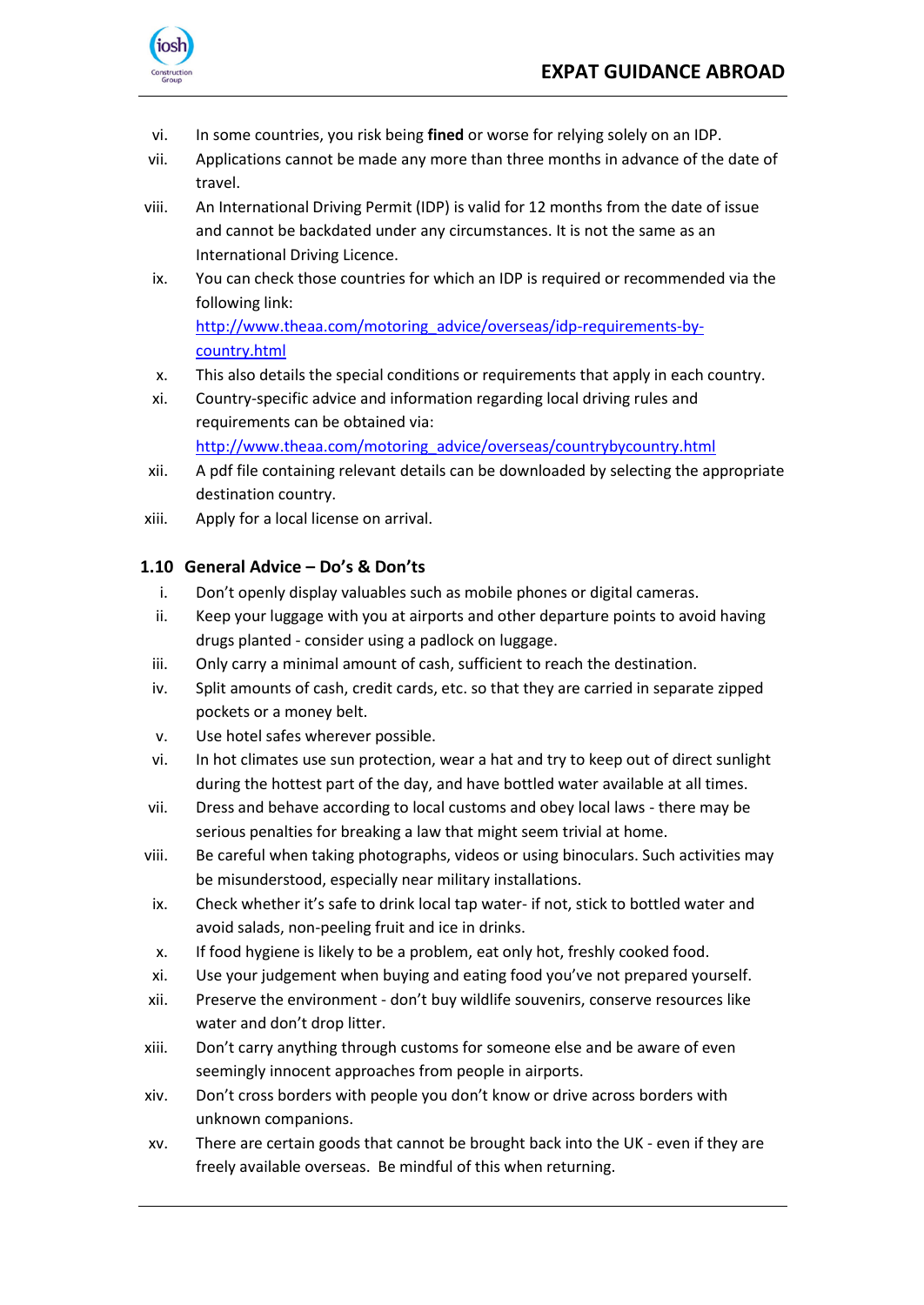

- vi. In some countries, you risk being **fined** or worse for relying solely on an IDP.
- vii. Applications cannot be made any more than three months in advance of the date of travel.
- viii. An International Driving Permit (IDP) is valid for 12 months from the date of issue and cannot be backdated under any circumstances. It is not the same as an International Driving Licence.
- ix. You can check those countries for which an IDP is required or recommended via the following link:

[http://www.theaa.com/motoring\\_advice/overseas/idp-requirements-by](http://www.theaa.com/motoring_advice/overseas/idp-requirements-by-country.html)[country.html](http://www.theaa.com/motoring_advice/overseas/idp-requirements-by-country.html)

- x. This also details the special conditions or requirements that apply in each country.
- xi. Country-specific advice and information regarding local driving rules and requirements can be obtained via: [http://www.theaa.com/motoring\\_advice/overseas/countrybycountry.html](http://www.theaa.com/motoring_advice/overseas/countrybycountry.html)
- xii. A pdf file containing relevant details can be downloaded by selecting the appropriate destination country.
- xiii. Apply for a local license on arrival.

#### <span id="page-7-0"></span>**1.10 General Advice – Do's & Don'ts**

- i. Don't openly display valuables such as mobile phones or digital cameras.
- ii. Keep your luggage with you at airports and other departure points to avoid having drugs planted - consider using a padlock on luggage.
- iii. Only carry a minimal amount of cash, sufficient to reach the destination.
- iv. Split amounts of cash, credit cards, etc. so that they are carried in separate zipped pockets or a money belt.
- v. Use hotel safes wherever possible.
- vi. In hot climates use sun protection, wear a hat and try to keep out of direct sunlight during the hottest part of the day, and have bottled water available at all times.
- vii. Dress and behave according to local customs and obey local laws there may be serious penalties for breaking a law that might seem trivial at home.
- viii. Be careful when taking photographs, videos or using binoculars. Such activities may be misunderstood, especially near military installations.
- ix. Check whether it's safe to drink local tap water- if not, stick to bottled water and avoid salads, non-peeling fruit and ice in drinks.
- x. If food hygiene is likely to be a problem, eat only hot, freshly cooked food.
- xi. Use your judgement when buying and eating food you've not prepared yourself.
- xii. Preserve the environment don't buy wildlife souvenirs, conserve resources like water and don't drop litter.
- xiii. Don't carry anything through customs for someone else and be aware of even seemingly innocent approaches from people in airports.
- xiv. Don't cross borders with people you don't know or drive across borders with unknown companions.
- xv. There are certain goods that cannot be brought back into the UK even if they are freely available overseas. Be mindful of this when returning.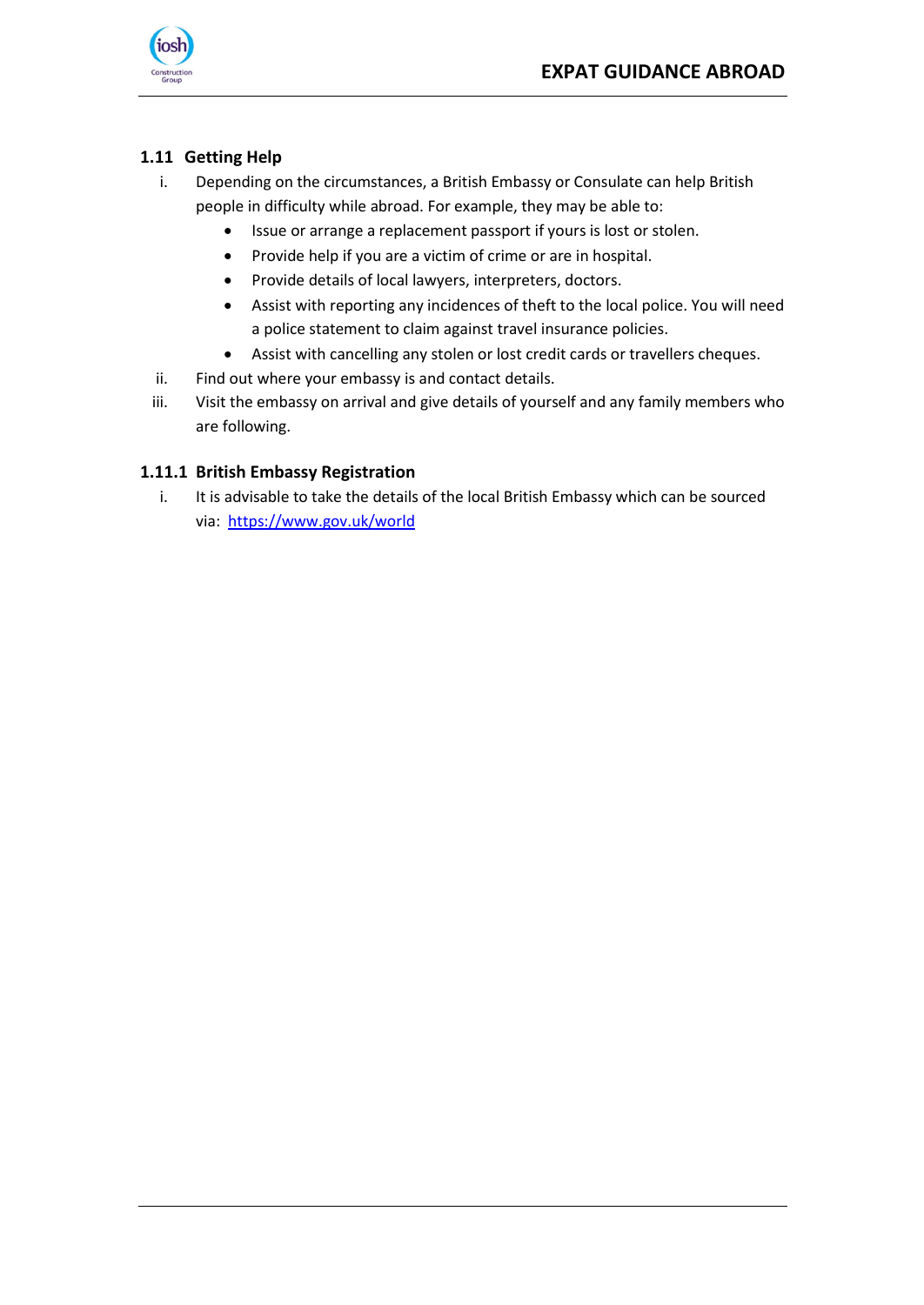

## <span id="page-8-0"></span>**1.11 Getting Help**

- i. Depending on the circumstances, a British Embassy or Consulate can help British people in difficulty while abroad. For example, they may be able to:
	- Issue or arrange a replacement passport if yours is lost or stolen.
	- Provide help if you are a victim of crime or are in hospital.
	- Provide details of local lawyers, interpreters, doctors.
	- Assist with reporting any incidences of theft to the local police. You will need a police statement to claim against travel insurance policies.
	- Assist with cancelling any stolen or lost credit cards or travellers cheques.
- ii. Find out where your embassy is and contact details.
- iii. Visit the embassy on arrival and give details of yourself and any family members who are following.

#### <span id="page-8-1"></span>**1.11.1 British Embassy Registration**

i. It is advisable to take the details of the local British Embassy which can be sourced via: <https://www.gov.uk/world>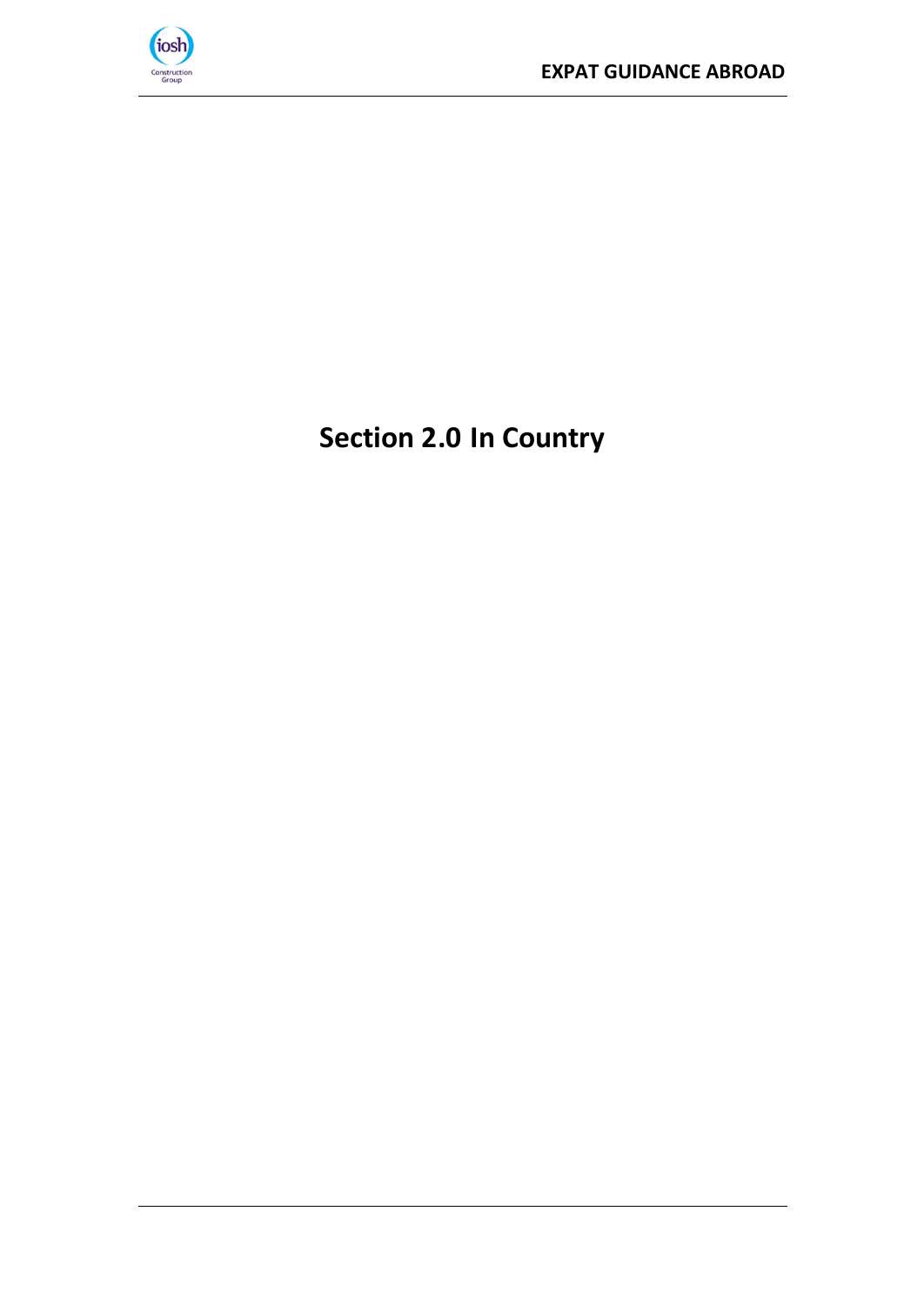

# <span id="page-9-0"></span>**Section 2.0 In Country**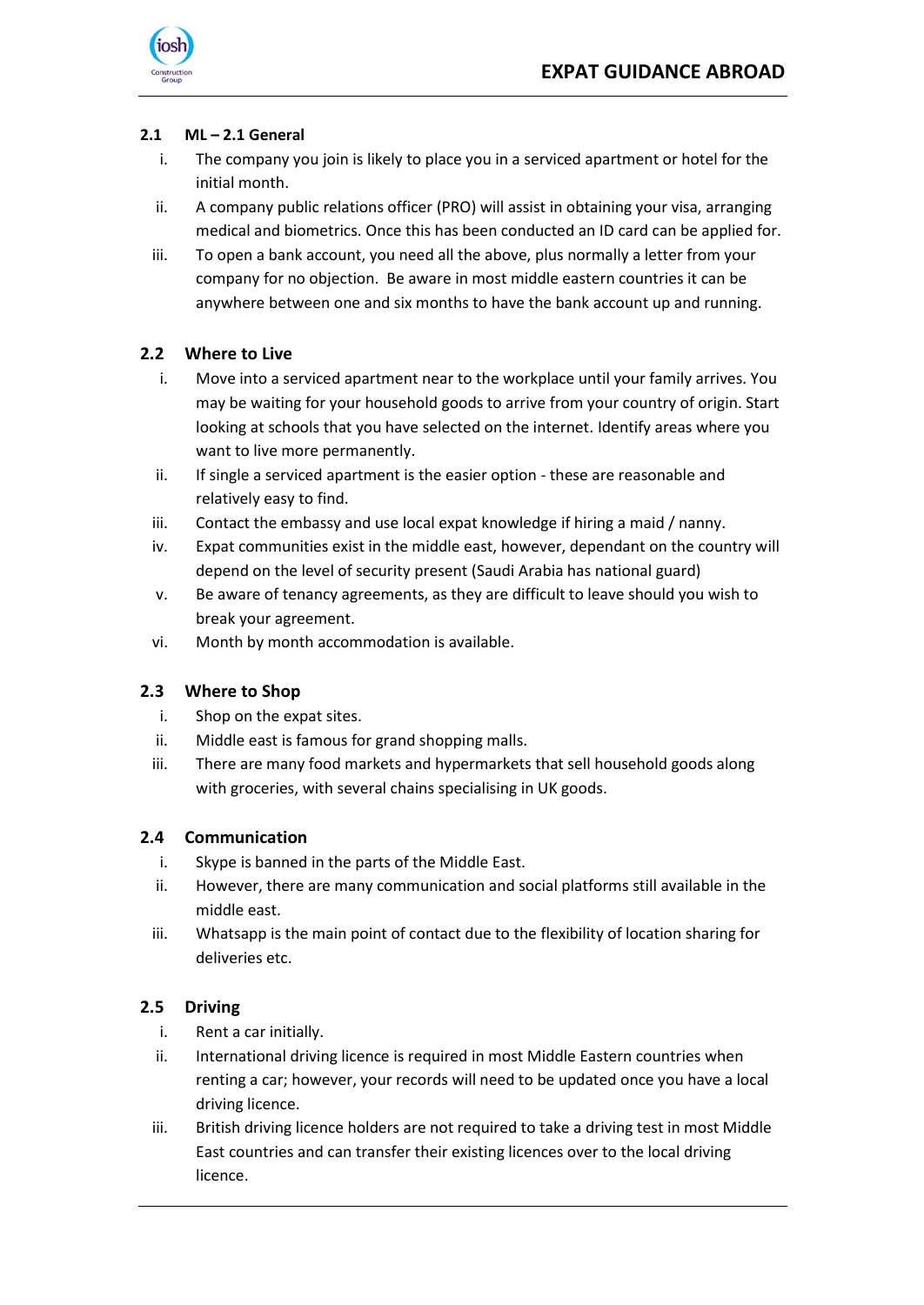

#### <span id="page-10-0"></span>**2.1 ML – 2.1 General**

- i. The company you join is likely to place you in a serviced apartment or hotel for the initial month.
- ii. A company public relations officer (PRO) will assist in obtaining your visa, arranging medical and biometrics. Once this has been conducted an ID card can be applied for.
- iii. To open a bank account, you need all the above, plus normally a letter from your company for no objection. Be aware in most middle eastern countries it can be anywhere between one and six months to have the bank account up and running.

#### **2.2 Where to Live**

- i. Move into a serviced apartment near to the workplace until your family arrives. You may be waiting for your household goods to arrive from your country of origin. Start looking at schools that you have selected on the internet. Identify areas where you want to live more permanently.
- ii. If single a serviced apartment is the easier option these are reasonable and relatively easy to find.
- iii. Contact the embassy and use local expat knowledge if hiring a maid / nanny.
- iv. Expat communities exist in the middle east, however, dependant on the country will depend on the level of security present (Saudi Arabia has national guard)
- v. Be aware of tenancy agreements, as they are difficult to leave should you wish to break your agreement.
- vi. Month by month accommodation is available.

#### <span id="page-10-1"></span>**2.3 Where to Shop**

- i. Shop on the expat sites.
- ii. Middle east is famous for grand shopping malls.
- iii. There are many food markets and hypermarkets that sell household goods along with groceries, with several chains specialising in UK goods.

#### <span id="page-10-2"></span>**2.4 Communication**

- i. Skype is banned in the parts of the Middle East.
- ii. However, there are many communication and social platforms still available in the middle east.
- iii. Whatsapp is the main point of contact due to the flexibility of location sharing for deliveries etc.

#### <span id="page-10-3"></span>**2.5 Driving**

- i. Rent a car initially.
- ii. International driving licence is required in most Middle Eastern countries when renting a car; however, your records will need to be updated once you have a local driving licence.
- iii. British driving licence holders are not required to take a driving test in most Middle East countries and can transfer their existing licences over to the local driving licence.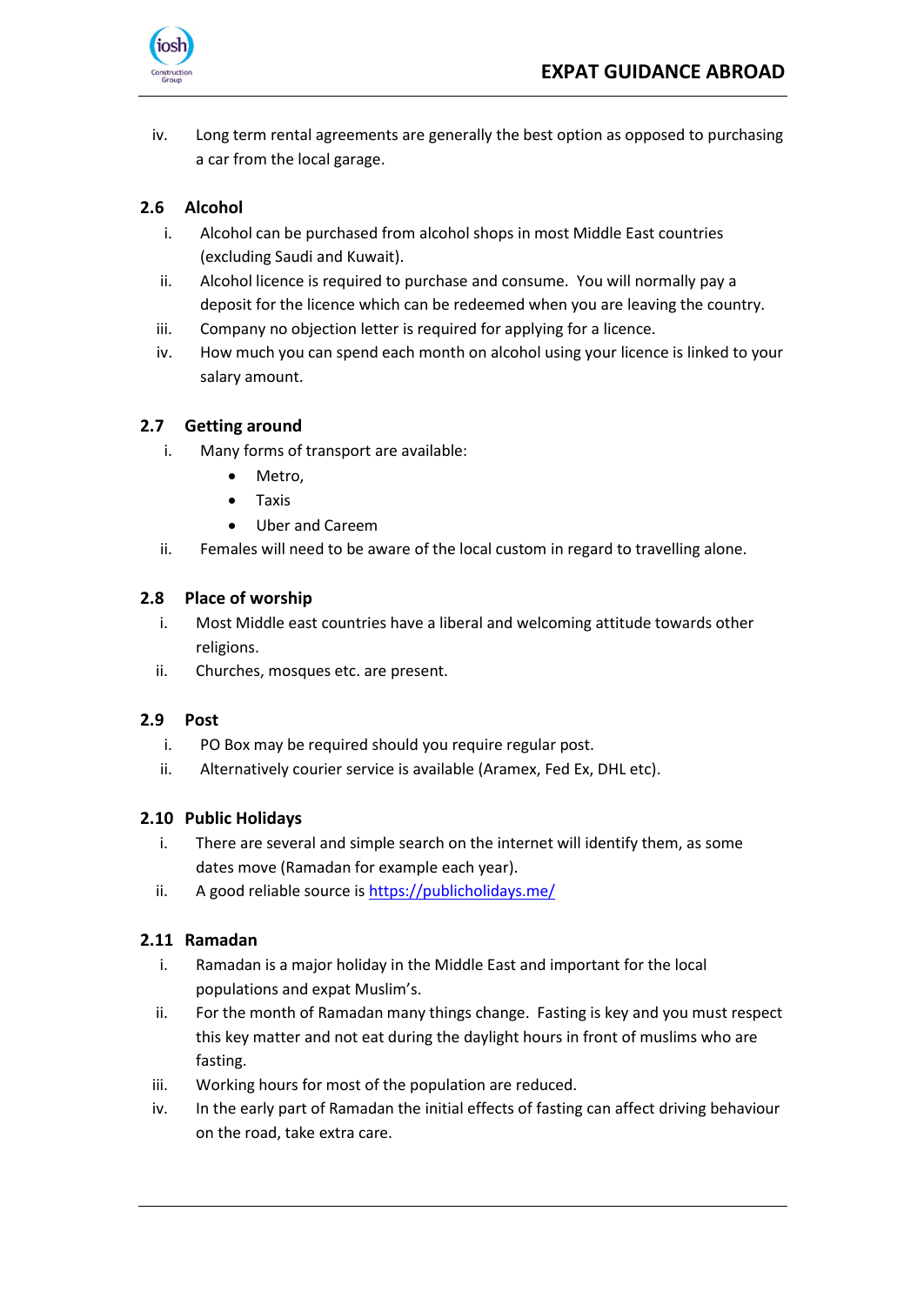

iv. Long term rental agreements are generally the best option as opposed to purchasing a car from the local garage.

#### **2.6 Alcohol**

- i. Alcohol can be purchased from alcohol shops in most Middle East countries (excluding Saudi and Kuwait).
- ii. Alcohol licence is required to purchase and consume. You will normally pay a deposit for the licence which can be redeemed when you are leaving the country.
- iii. Company no objection letter is required for applying for a licence.
- iv. How much you can spend each month on alcohol using your licence is linked to your salary amount.

#### **2.7 Getting around**

- i. Many forms of transport are available:
	- Metro,
	- Taxis
	- Uber and Careem
- ii. Females will need to be aware of the local custom in regard to travelling alone.

#### **2.8 Place of worship**

- i. Most Middle east countries have a liberal and welcoming attitude towards other religions.
- ii. Churches, mosques etc. are present.

#### **2.9 Post**

- i. PO Box may be required should you require regular post.
- ii. Alternatively courier service is available (Aramex, Fed Ex, DHL etc).

#### **2.10 Public Holidays**

- i. There are several and simple search on the internet will identify them, as some dates move (Ramadan for example each year).
- ii. A good reliable source i[s https://publicholidays.me/](https://publicholidays.me/)

#### **2.11 Ramadan**

- i. Ramadan is a major holiday in the Middle East and important for the local populations and expat Muslim's.
- ii. For the month of Ramadan many things change. Fasting is key and you must respect this key matter and not eat during the daylight hours in front of muslims who are fasting.
- iii. Working hours for most of the population are reduced.
- iv. In the early part of Ramadan the initial effects of fasting can affect driving behaviour on the road, take extra care.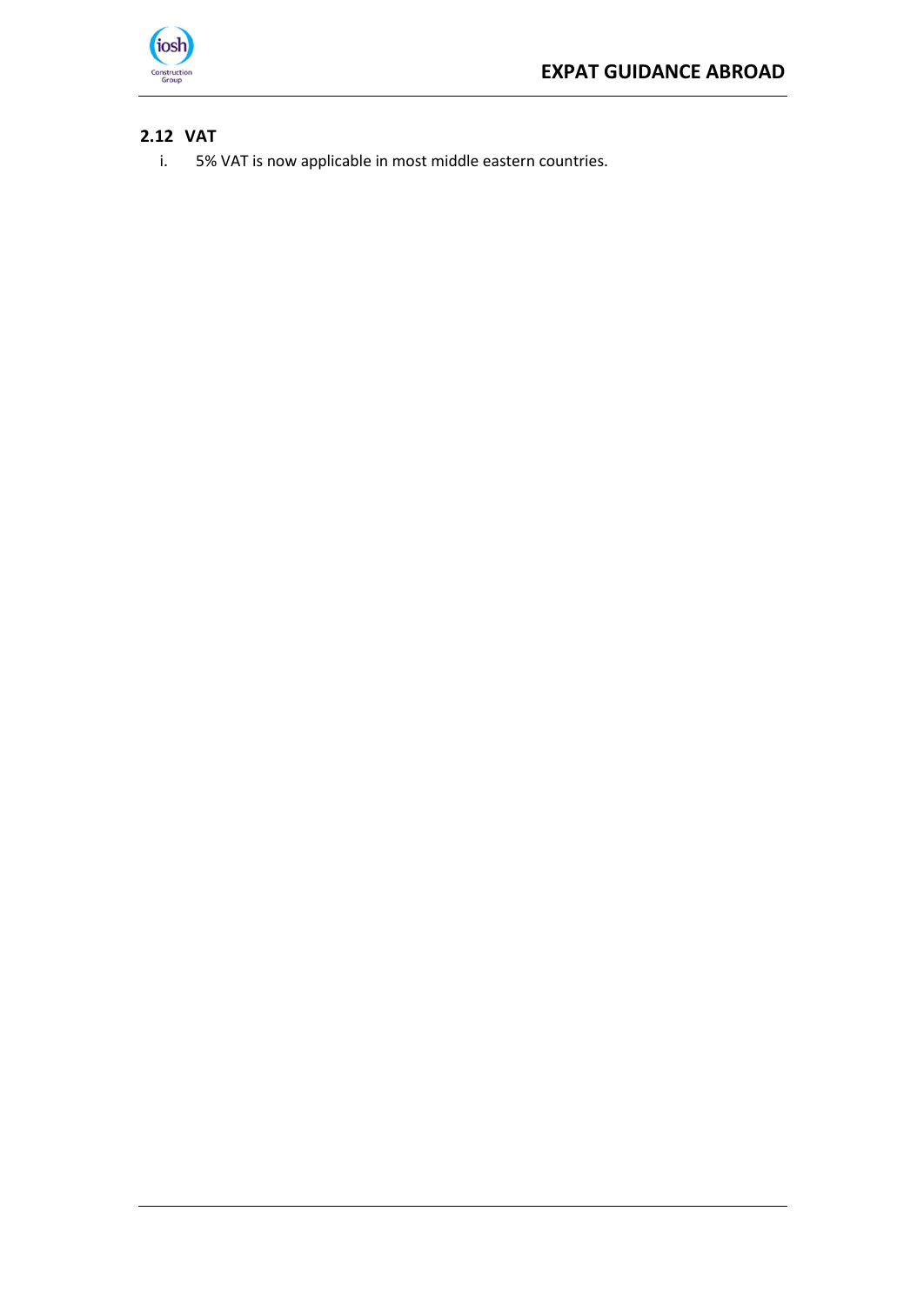

# **2.12 VAT**

i. 5% VAT is now applicable in most middle eastern countries.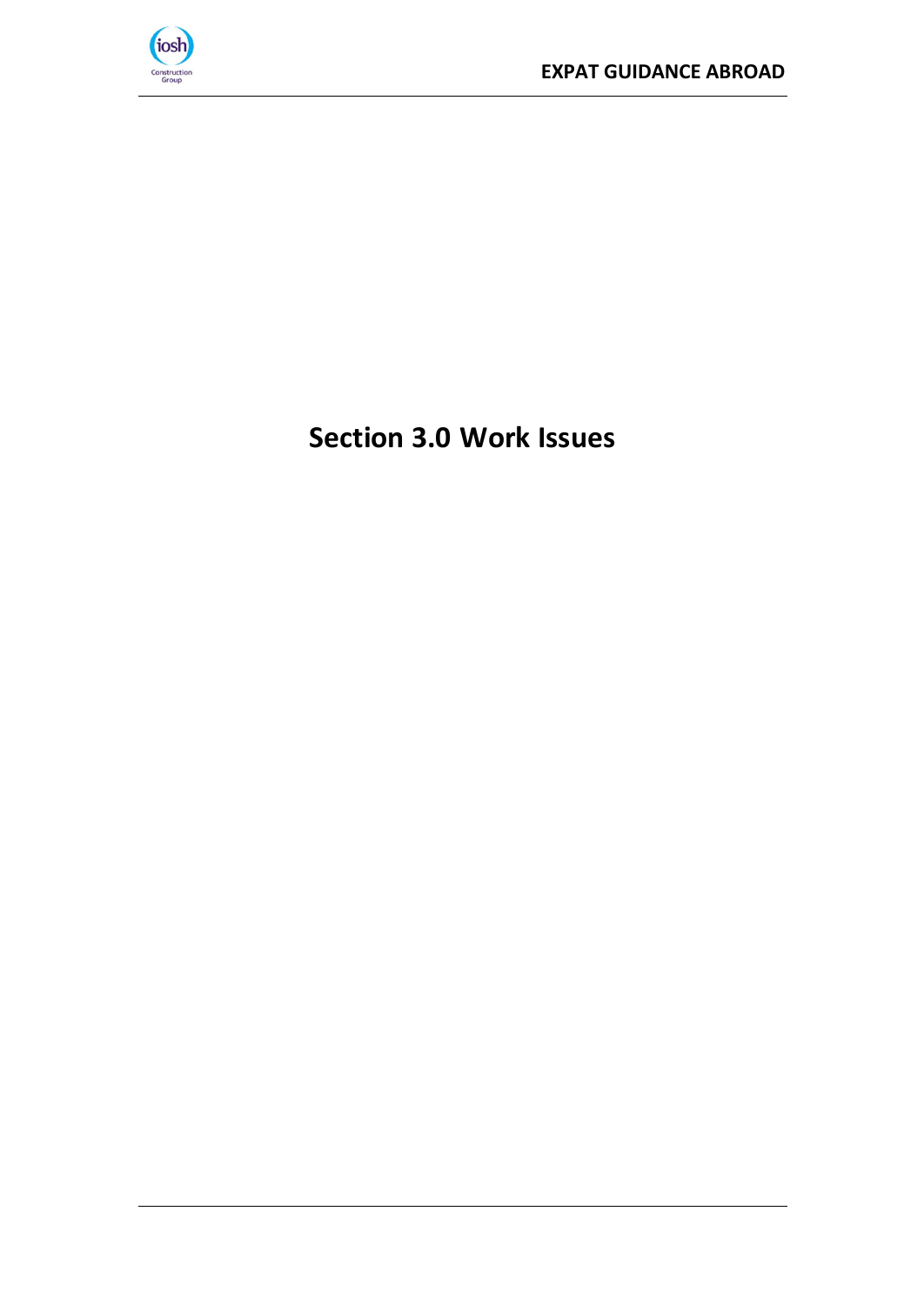

# <span id="page-13-0"></span>**Section 3.0 Work Issues**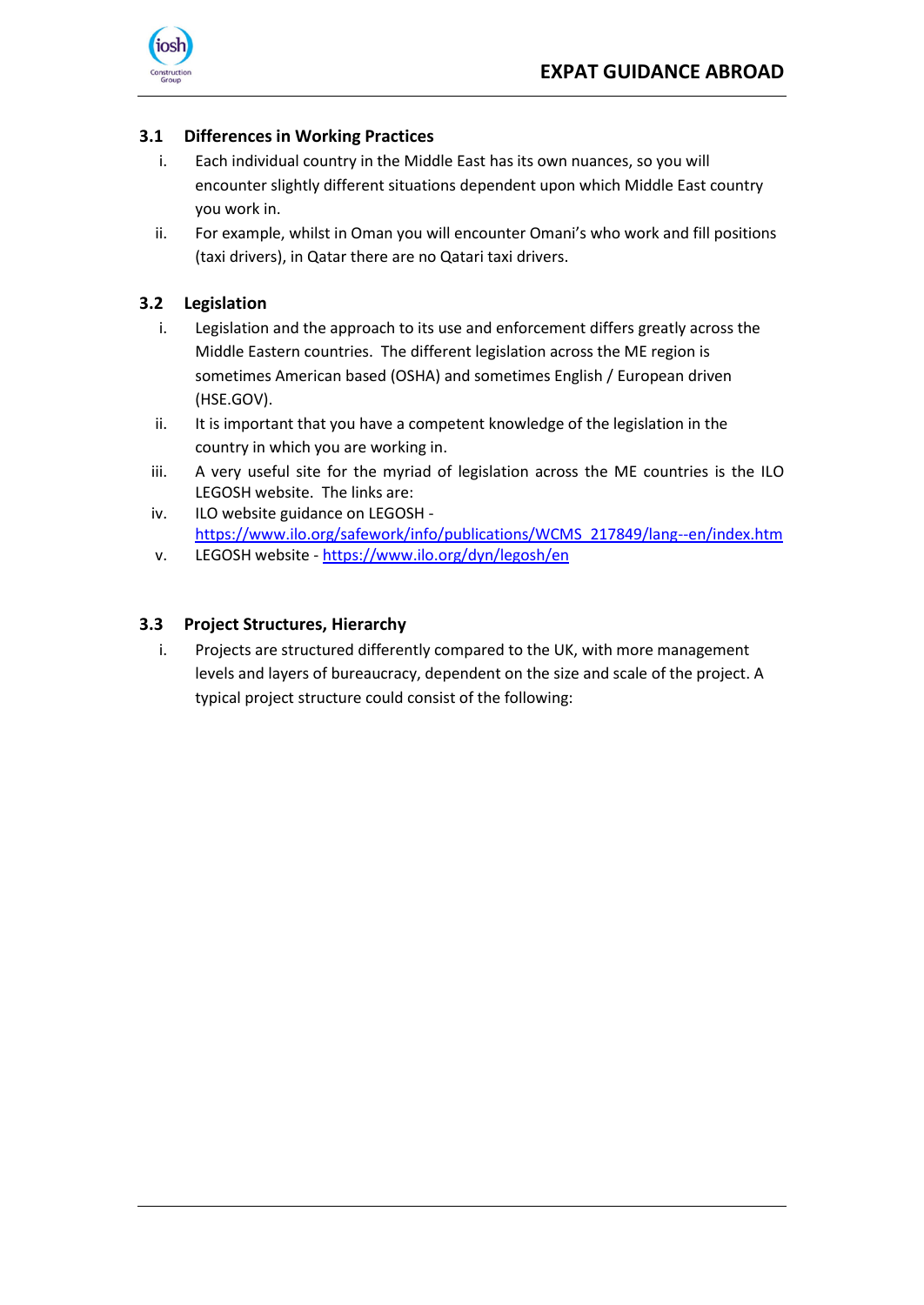

#### <span id="page-14-0"></span>**3.1 Differences in Working Practices**

- i. Each individual country in the Middle East has its own nuances, so you will encounter slightly different situations dependent upon which Middle East country you work in.
- ii. For example, whilst in Oman you will encounter Omani's who work and fill positions (taxi drivers), in Qatar there are no Qatari taxi drivers.

#### <span id="page-14-1"></span>**3.2 Legislation**

- i. Legislation and the approach to its use and enforcement differs greatly across the Middle Eastern countries. The different legislation across the ME region is sometimes American based (OSHA) and sometimes English / European driven (HSE.GOV).
- ii. It is important that you have a competent knowledge of the legislation in the country in which you are working in.
- iii. A very useful site for the myriad of legislation across the ME countries is the ILO LEGOSH website. The links are:
- iv. ILO website guidance on LEGOSH [https://www.ilo.org/safework/info/publications/WCMS\\_217849/lang--en/index.htm](https://www.ilo.org/safework/info/publications/WCMS_217849/lang--en/index.htm)
- v. LEGOSH website <https://www.ilo.org/dyn/legosh/en>

#### <span id="page-14-2"></span>**3.3 Project Structures, Hierarchy**

i. Projects are structured differently compared to the UK, with more management levels and layers of bureaucracy, dependent on the size and scale of the project. A typical project structure could consist of the following: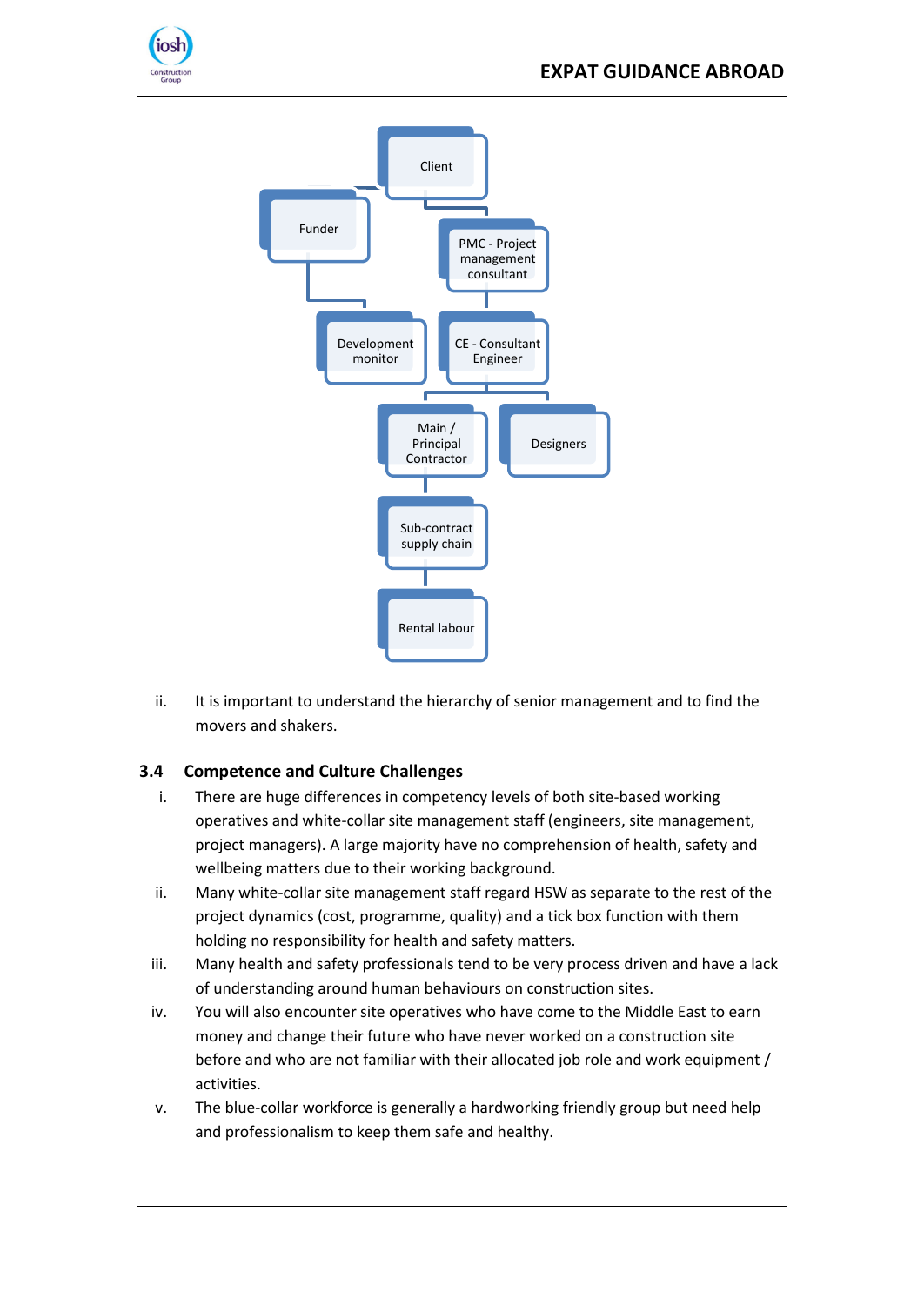



ii. It is important to understand the hierarchy of senior management and to find the movers and shakers.

# <span id="page-15-0"></span>**3.4 Competence and Culture Challenges**

- i. There are huge differences in competency levels of both site-based working operatives and white-collar site management staff (engineers, site management, project managers). A large majority have no comprehension of health, safety and wellbeing matters due to their working background.
- ii. Many white-collar site management staff regard HSW as separate to the rest of the project dynamics (cost, programme, quality) and a tick box function with them holding no responsibility for health and safety matters.
- iii. Many health and safety professionals tend to be very process driven and have a lack of understanding around human behaviours on construction sites.
- iv. You will also encounter site operatives who have come to the Middle East to earn money and change their future who have never worked on a construction site before and who are not familiar with their allocated job role and work equipment / activities.
- v. The blue-collar workforce is generally a hardworking friendly group but need help and professionalism to keep them safe and healthy.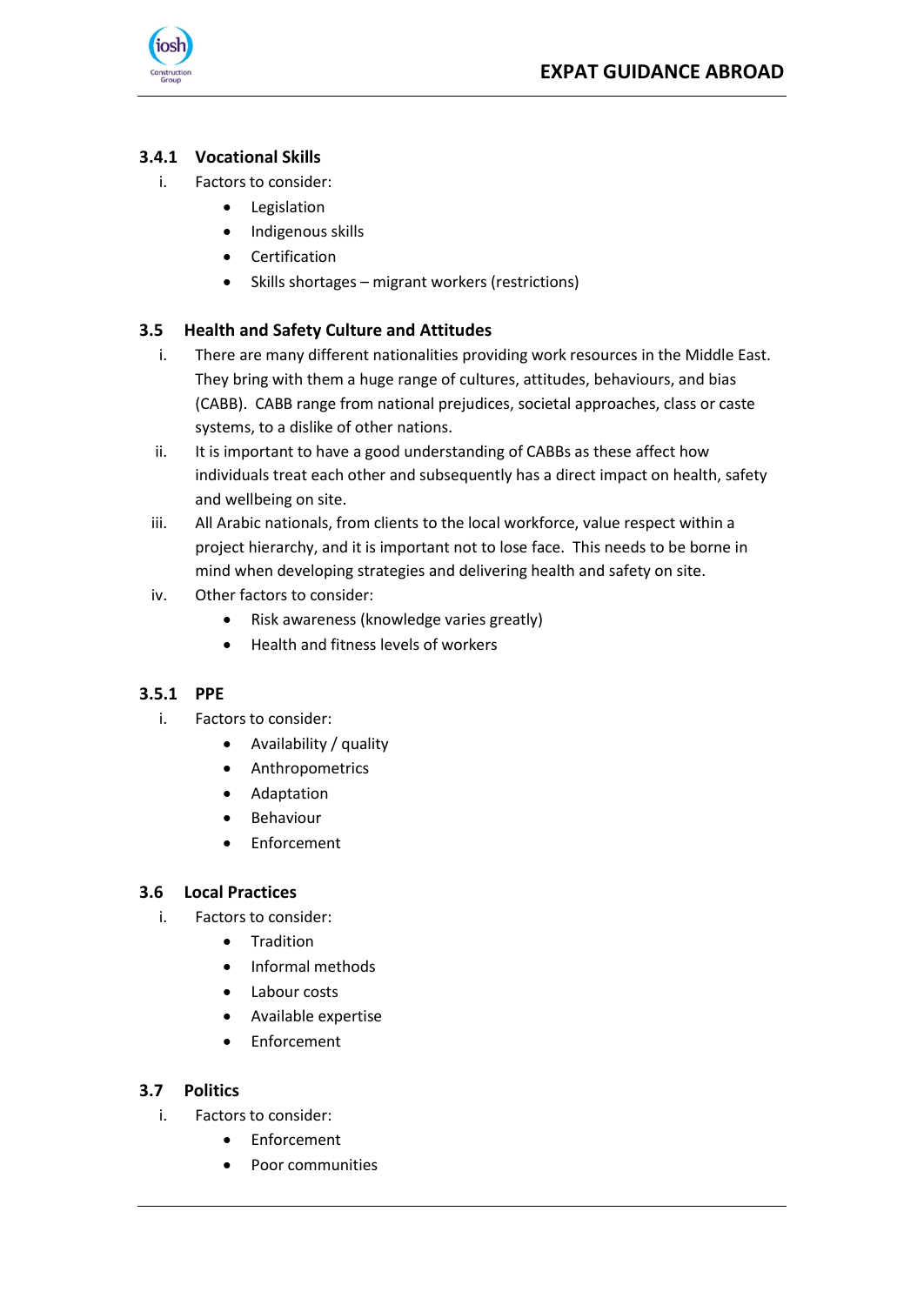

### <span id="page-16-0"></span>**3.4.1 Vocational Skills**

- i. Factors to consider:
	- Legislation
	- Indigenous skills
	- Certification
	- Skills shortages migrant workers (restrictions)

#### <span id="page-16-1"></span>**3.5 Health and Safety Culture and Attitudes**

- i. There are many different nationalities providing work resources in the Middle East. They bring with them a huge range of cultures, attitudes, behaviours, and bias (CABB). CABB range from national prejudices, societal approaches, class or caste systems, to a dislike of other nations.
- ii. It is important to have a good understanding of CABBs as these affect how individuals treat each other and subsequently has a direct impact on health, safety and wellbeing on site.
- iii. All Arabic nationals, from clients to the local workforce, value respect within a project hierarchy, and it is important not to lose face. This needs to be borne in mind when developing strategies and delivering health and safety on site.
- iv. Other factors to consider:
	- Risk awareness (knowledge varies greatly)
	- Health and fitness levels of workers

#### <span id="page-16-2"></span>**3.5.1 PPE**

- i. Factors to consider:
	- Availability / quality
	- Anthropometrics
	- Adaptation
	- **Behaviour**
	- **Enforcement**

#### <span id="page-16-3"></span>**3.6 Local Practices**

- i. Factors to consider:
	- Tradition
	- Informal methods
	- Labour costs
	- Available expertise
	- Enforcement

#### <span id="page-16-4"></span>**3.7 Politics**

- i. Factors to consider:
	- Enforcement
	- Poor communities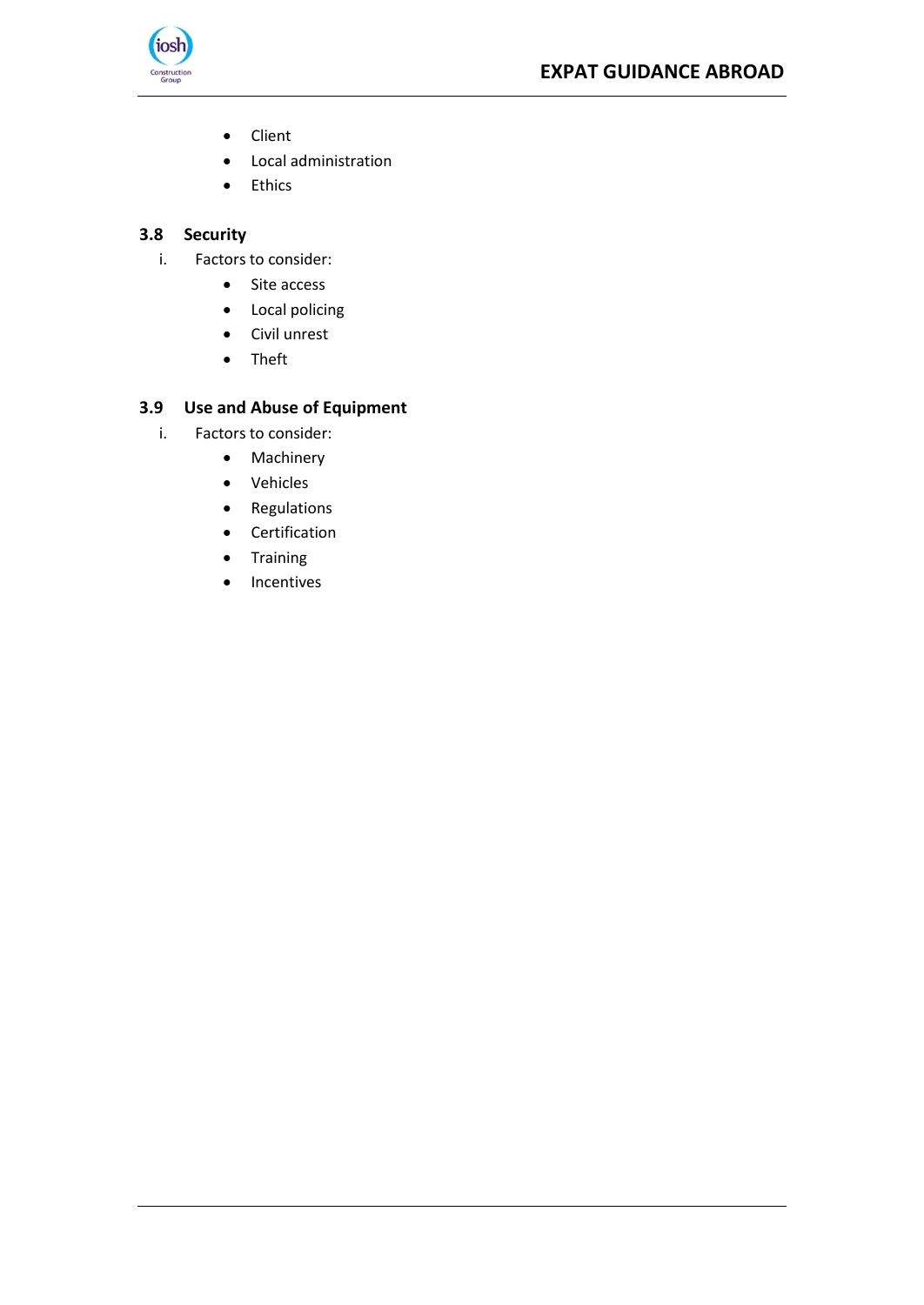

- Client
- Local administration
- Ethics

#### <span id="page-17-0"></span>**3.8 Security**

- i. Factors to consider:
	- Site access
	- Local policing
	- Civil unrest
	- Theft

# <span id="page-17-1"></span>**3.9 Use and Abuse of Equipment**

- i. Factors to consider:
	- Machinery
	- Vehicles
	- Regulations
	- Certification
	- Training
	- Incentives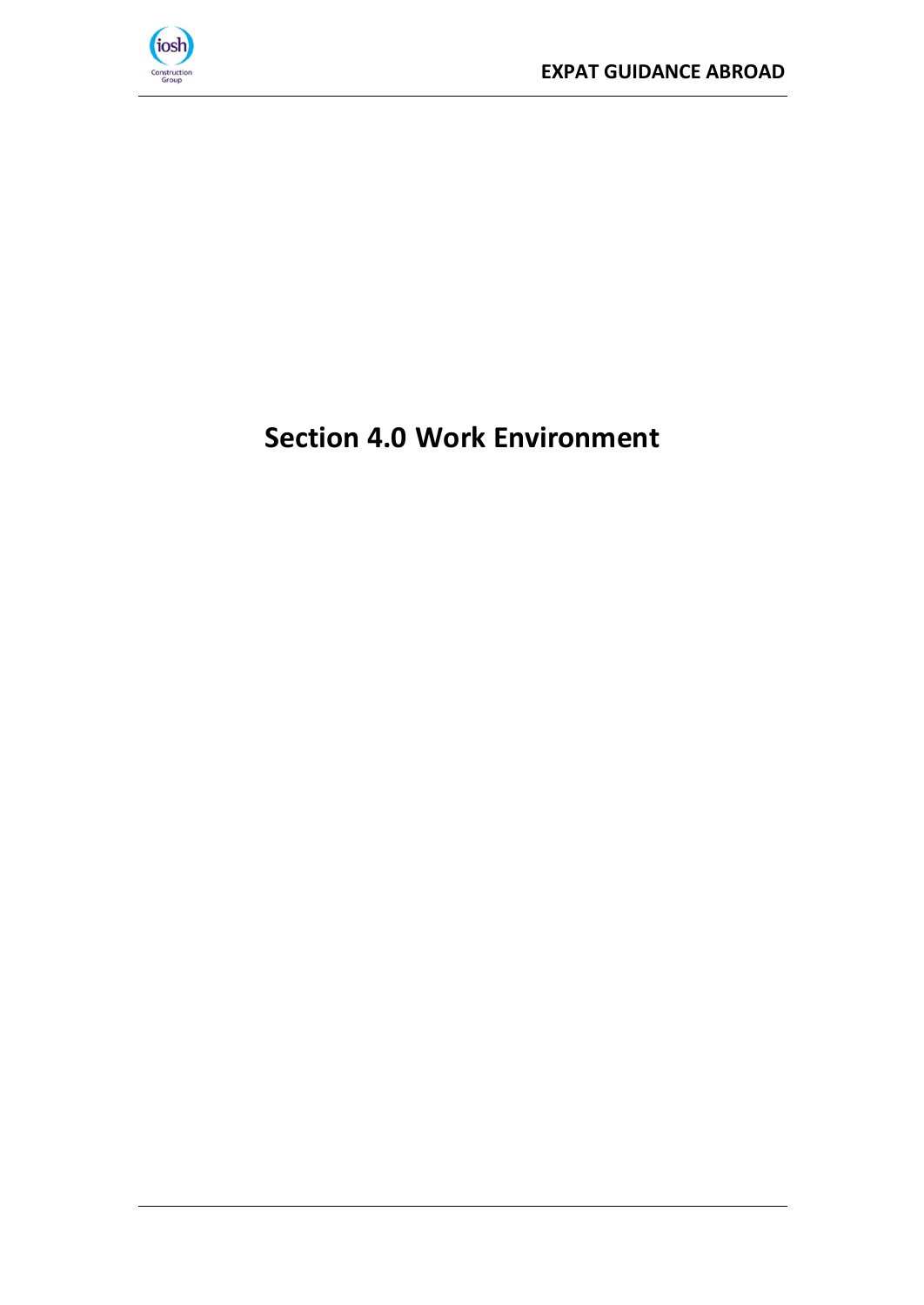

# <span id="page-18-0"></span>**Section 4.0 Work Environment**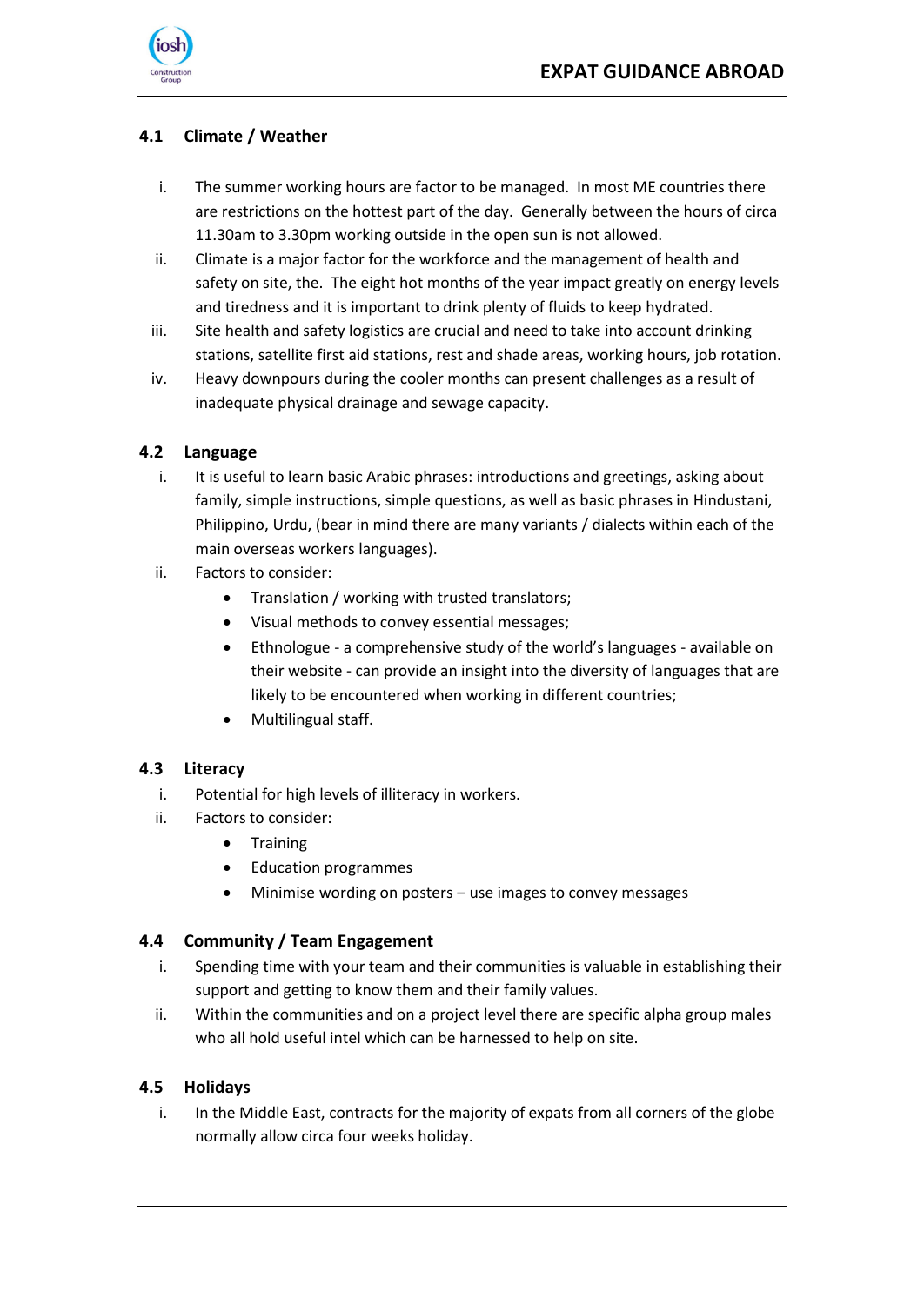

## <span id="page-19-0"></span>**4.1 Climate / Weather**

- i. The summer working hours are factor to be managed. In most ME countries there are restrictions on the hottest part of the day. Generally between the hours of circa 11.30am to 3.30pm working outside in the open sun is not allowed.
- ii. Climate is a major factor for the workforce and the management of health and safety on site, the. The eight hot months of the year impact greatly on energy levels and tiredness and it is important to drink plenty of fluids to keep hydrated.
- iii. Site health and safety logistics are crucial and need to take into account drinking stations, satellite first aid stations, rest and shade areas, working hours, job rotation.
- iv. Heavy downpours during the cooler months can present challenges as a result of inadequate physical drainage and sewage capacity.

#### <span id="page-19-1"></span>**4.2 Language**

- i. It is useful to learn basic Arabic phrases: introductions and greetings, asking about family, simple instructions, simple questions, as well as basic phrases in Hindustani, Philippino, Urdu, (bear in mind there are many variants / dialects within each of the main overseas workers languages).
- ii. Factors to consider:
	- Translation / working with trusted translators;
	- Visual methods to convey essential messages;
	- Ethnologue a comprehensive study of the world's languages available on their website - can provide an insight into the diversity of languages that are likely to be encountered when working in different countries;
	- Multilingual staff.

#### <span id="page-19-2"></span>**4.3 Literacy**

- i. Potential for high levels of illiteracy in workers.
- ii. Factors to consider:
	- Training
	- Education programmes
	- Minimise wording on posters use images to convey messages

#### <span id="page-19-3"></span>**4.4 Community / Team Engagement**

- i. Spending time with your team and their communities is valuable in establishing their support and getting to know them and their family values.
- ii. Within the communities and on a project level there are specific alpha group males who all hold useful intel which can be harnessed to help on site.

#### <span id="page-19-4"></span>**4.5 Holidays**

i. In the Middle East, contracts for the majority of expats from all corners of the globe normally allow circa four weeks holiday.